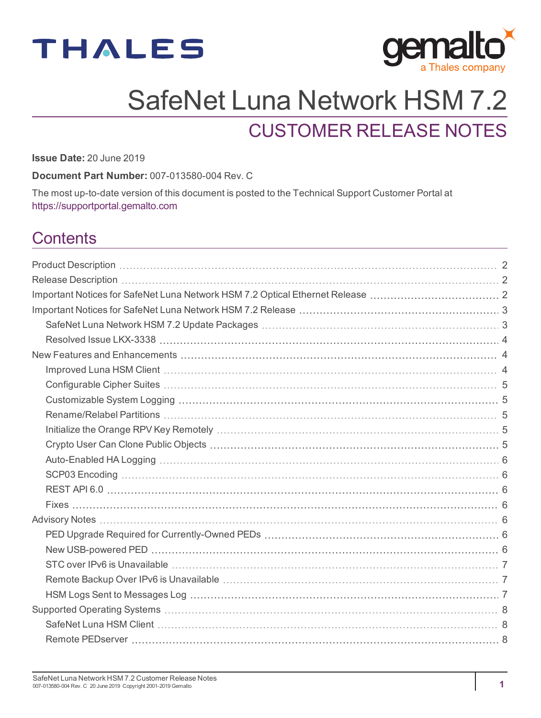



# SafeNet Luna Network HSM 7.2

# CUSTOMER RELEASE NOTES

**Issue Date:** 20 June 2019

**Document Part Number:** 007-013580-004 Rev. C

The most up-to-date version of this document is posted to the Technical Support Customer Portal at [https://supportportal.gemalto.com](https://supportportal.gemalto.com/)

### **Contents**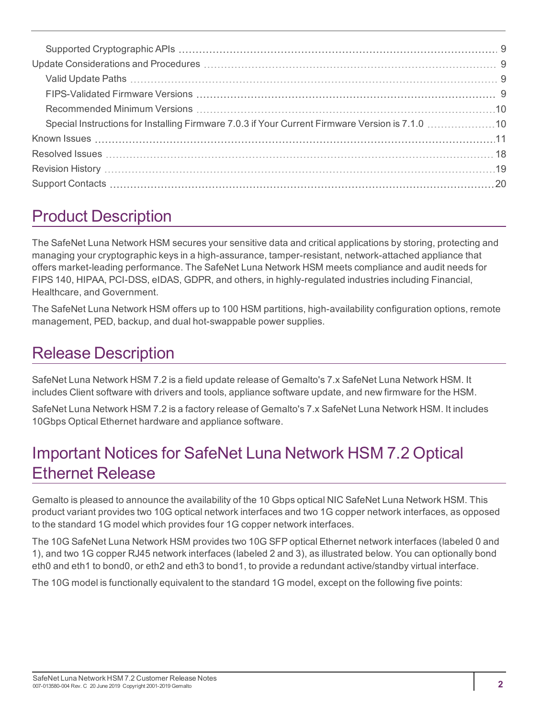# <span id="page-1-0"></span>Product Description

The SafeNet Luna Network HSM secures your sensitive data and critical applications by storing, protecting and managing your cryptographic keys in a high-assurance, tamper-resistant, network-attached appliance that offers market-leading performance. The SafeNet Luna Network HSM meets compliance and audit needs for FIPS 140, HIPAA, PCI-DSS, eIDAS, GDPR, and others, in highly-regulated industries including Financial, Healthcare, and Government.

The SafeNet Luna Network HSM offers up to 100 HSM partitions, high-availability configuration options, remote management, PED, backup, and dual hot-swappable power supplies.

# <span id="page-1-1"></span>Release Description

SafeNet Luna Network HSM 7.2 is a field update release of Gemalto's 7.x SafeNet Luna Network HSM. It includes Client software with drivers and tools, appliance software update, and new firmware for the HSM.

<span id="page-1-2"></span>SafeNet Luna Network HSM 7.2 is a factory release of Gemalto's 7.x SafeNet Luna Network HSM. It includes 10Gbps Optical Ethernet hardware and appliance software.

# Important Notices for SafeNet Luna Network HSM 7.2 Optical Ethernet Release

Gemalto is pleased to announce the availability of the 10 Gbps optical NIC SafeNet Luna Network HSM. This product variant provides two 10G optical network interfaces and two 1G copper network interfaces, as opposed to the standard 1G model which provides four 1G copper network interfaces.

The 10G SafeNet Luna Network HSM provides two 10G SFP optical Ethernet network interfaces (labeled 0 and 1), and two 1G copper RJ45 network interfaces (labeled 2 and 3), as illustrated below. You can optionally bond eth0 and eth1 to bond0, or eth2 and eth3 to bond1, to provide a redundant active/standby virtual interface.

The 10G model is functionally equivalent to the standard 1G model, except on the following five points: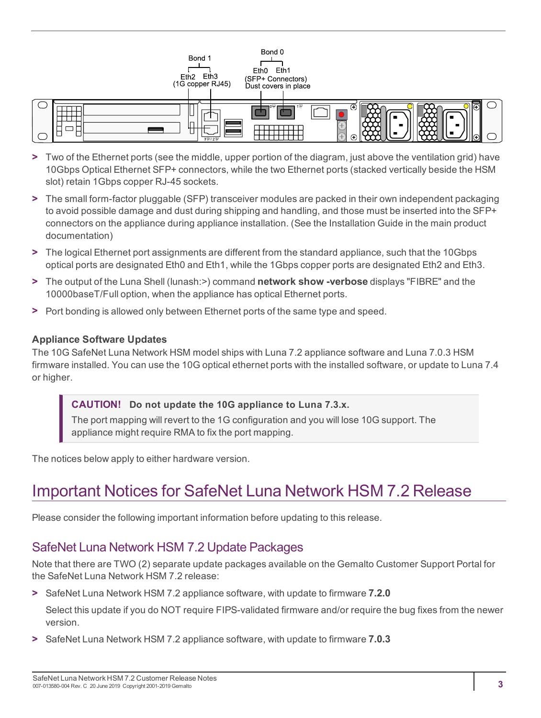

- **>** Two of the Ethernet ports (see the middle, upper portion of the diagram, just above the ventilation grid) have 10Gbps Optical Ethernet SFP+ connectors, while the two Ethernet ports (stacked vertically beside the HSM slot) retain 1Gbps copper RJ-45 sockets.
- **>** The small form-factor pluggable (SFP) transceiver modules are packed in their own independent packaging to avoid possible damage and dust during shipping and handling, and those must be inserted into the SFP+ connectors on the appliance during appliance installation. (See the Installation Guide in the main product documentation)
- **>** The logical Ethernet port assignments are different from the standard appliance, such that the 10Gbps optical ports are designated Eth0 and Eth1, while the 1Gbps copper ports are designated Eth2 and Eth3.
- **>** The output of the Luna Shell (lunash:>) command **network show -verbose** displays "FIBRE" and the 10000baseT/Full option, when the appliance has optical Ethernet ports.
- **>** Port bonding is allowed only between Ethernet ports of the same type and speed.

#### **Appliance Software Updates**

The 10G SafeNet Luna Network HSM model ships with Luna 7.2 appliance software and Luna 7.0.3 HSM firmware installed. You can use the 10G optical ethernet ports with the installed software, or update to Luna 7.4 or higher.

#### **CAUTION! Do not update the 10G appliance to Luna 7.3.x.**

The port mapping will revert to the 1G configuration and you will lose 10G support. The appliance might require RMA to fix the port mapping.

<span id="page-2-0"></span>The notices below apply to either hardware version.

# Important Notices for SafeNet Luna Network HSM 7.2 Release

<span id="page-2-1"></span>Please consider the following important information before updating to this release.

### SafeNet Luna Network HSM 7.2 Update Packages

Note that there are TWO (2) separate update packages available on the Gemalto Customer Support Portal for the SafeNet Luna Network HSM 7.2 release:

**>** SafeNet Luna Network HSM 7.2 appliance software, with update to firmware **7.2.0**

Select this update if you do NOT require FIPS-validated firmware and/or require the bug fixes from the newer version.

**>** SafeNet Luna Network HSM 7.2 appliance software, with update to firmware **7.0.3**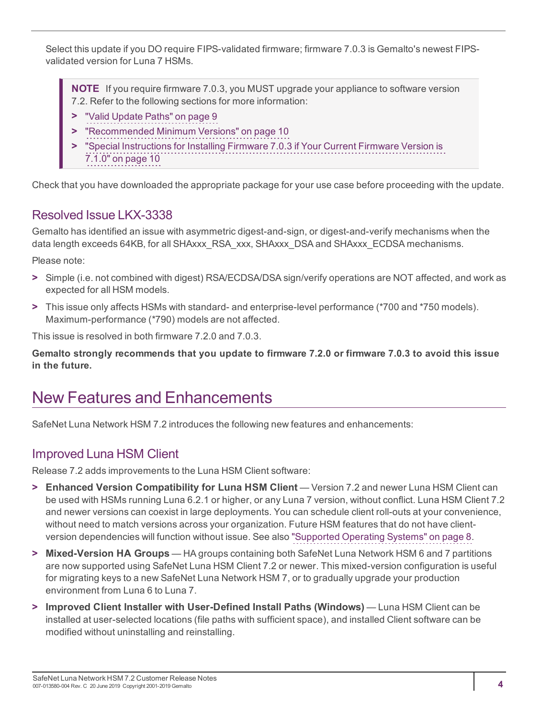Select this update if you DO require FIPS-validated firmware; firmware 7.0.3 is Gemalto's newest FIPSvalidated version for Luna 7 HSMs.

**NOTE** If you require firmware 7.0.3, you MUST upgrade your appliance to software version 7.2. Refer to the following sections for more information:

- **>** "Valid Update [Paths" on](#page-8-2) page 9
- **>** ["Recommended](#page-9-0) Minimum Versions" on page 10
- **>** "Special [Instructions](#page-9-1) for Installing Firmware 7.0.3 if Your Current Firmware Version is [7.1.0" on](#page-9-1) page 10

<span id="page-3-0"></span>Check that you have downloaded the appropriate package for your use case before proceeding with the update.

### Resolved Issue LKX-3338

Gemalto has identified an issue with asymmetric digest-and-sign, or digest-and-verify mechanisms when the data length exceeds 64KB, for all SHAxxx\_RSA\_xxx, SHAxxx\_DSA and SHAxxx\_ECDSA mechanisms.

Please note:

- **>** Simple (i.e. not combined with digest) RSA/ECDSA/DSA sign/verify operations are NOT affected, and work as expected for all HSM models.
- **>** This issue only affects HSMs with standard- and enterprise-level performance (\*700 and \*750 models). Maximum-performance (\*790) models are not affected.

This issue is resolved in both firmware 7.2.0 and 7.0.3.

**Gemalto strongly recommends that you update to firmware 7.2.0 or firmware 7.0.3 to avoid this issue in the future.**

# <span id="page-3-1"></span>New Features and Enhancements

<span id="page-3-2"></span>SafeNet Luna Network HSM 7.2 introduces the following new features and enhancements:

### Improved Luna HSM Client

Release 7.2 adds improvements to the Luna HSM Client software:

- **> Enhanced Version Compatibility for Luna HSM Client** Version 7.2 and newer Luna HSM Client can be used with HSMs running Luna 6.2.1 or higher, or any Luna 7 version, without conflict. Luna HSM Client 7.2 and newer versions can coexist in large deployments. You can schedule client roll-outs at your convenience, without need to match versions across your organization. Future HSM features that do not have clientversion dependencies will function without issue. See also "Supported Operating [Systems" on](#page-7-0) page 8.
- **> Mixed-Version HA Groups** HA groups containing both SafeNet Luna Network HSM 6 and 7 partitions are now supported using SafeNet Luna HSM Client 7.2 or newer. This mixed-version configuration is useful for migrating keys to a new SafeNet Luna Network HSM 7, or to gradually upgrade your production environment from Luna 6 to Luna 7.
- **> Improved Client Installer with User-Defined Install Paths (Windows)** Luna HSM Client can be installed at user-selected locations (file paths with sufficient space), and installed Client software can be modified without uninstalling and reinstalling.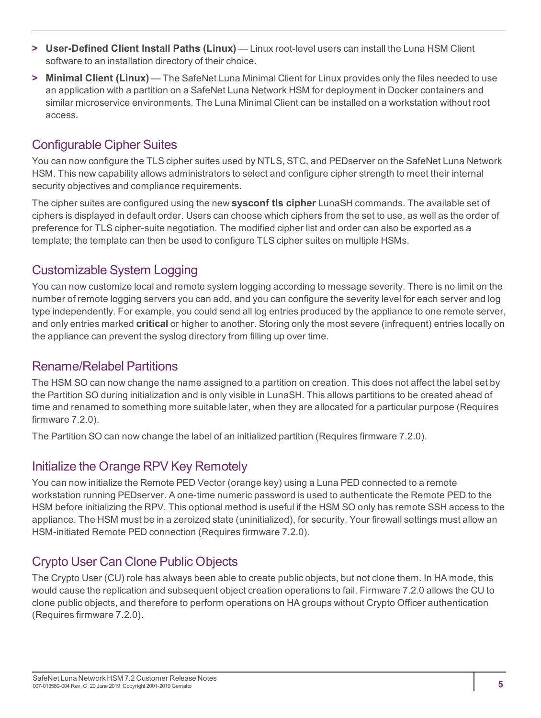- **> User-Defined Client Install Paths (Linux)** Linux root-level users can install the Luna HSM Client software to an installation directory of their choice.
- **> Minimal Client (Linux)** The SafeNet Luna Minimal Client for Linux provides only the files needed to use an application with a partition on a SafeNet Luna Network HSM for deployment in Docker containers and similar microservice environments. The Luna Minimal Client can be installed on a workstation without root access.

### <span id="page-4-0"></span>Configurable Cipher Suites

You can now configure the TLS cipher suites used by NTLS, STC, and PEDserver on the SafeNet Luna Network HSM. This new capability allows administrators to select and configure cipher strength to meet their internal security objectives and compliance requirements.

The cipher suites are configured using the new **sysconf tls cipher** LunaSH commands. The available set of ciphers is displayed in default order. Users can choose which ciphers from the set to use, as well as the order of preference for TLS cipher-suite negotiation. The modified cipher list and order can also be exported as a template; the template can then be used to configure TLS cipher suites on multiple HSMs.

### <span id="page-4-1"></span>Customizable System Logging

You can now customize local and remote system logging according to message severity. There is no limit on the number of remote logging servers you can add, and you can configure the severity level for each server and log type independently. For example, you could send all log entries produced by the appliance to one remote server, and only entries marked **critical** or higher to another. Storing only the most severe (infrequent) entries locally on the appliance can prevent the syslog directory from filling up over time.

### <span id="page-4-2"></span>Rename/Relabel Partitions

The HSM SO can now change the name assigned to a partition on creation. This does not affect the label set by the Partition SO during initialization and is only visible in LunaSH. This allows partitions to be created ahead of time and renamed to something more suitable later, when they are allocated for a particular purpose (Requires firmware 7.2.0).

<span id="page-4-3"></span>The Partition SO can now change the label of an initialized partition (Requires firmware 7.2.0).

### Initialize the Orange RPV Key Remotely

You can now initialize the Remote PED Vector (orange key) using a Luna PED connected to a remote workstation running PEDserver. A one-time numeric password is used to authenticate the Remote PED to the HSM before initializing the RPV. This optional method is useful if the HSM SO only has remote SSH access to the appliance. The HSM must be in a zeroized state (uninitialized), for security. Your firewall settings must allow an HSM-initiated Remote PED connection (Requires firmware 7.2.0).

### <span id="page-4-4"></span>Crypto User Can Clone Public Objects

The Crypto User (CU) role has always been able to create public objects, but not clone them. In HA mode, this would cause the replication and subsequent object creation operations to fail. Firmware 7.2.0 allows the CU to clone public objects, and therefore to perform operations on HA groups without Crypto Officer authentication (Requires firmware 7.2.0).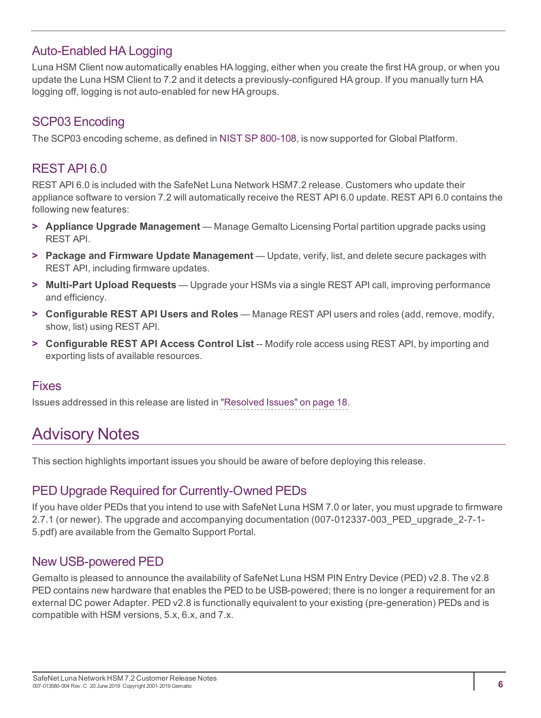### <span id="page-5-0"></span>Auto-Enabled HA Logging

Luna HSM Client now automatically enables HA logging, either when you create the first HA group, or when you update the Luna HSM Client to 7.2 and it detects a previously-configured HA group. If you manually turn HA logging off, logging is not auto-enabled for new HA groups.

### <span id="page-5-1"></span>SCP03 Encoding

<span id="page-5-2"></span>The SCP03 encoding scheme, as defined in NIST SP [800-108](https://csrc.nist.gov/publications/detail/sp/800-108/final), is now supported for Global Platform.

### REST API 6.0

REST API 6.0 is included with the SafeNet Luna Network HSM7.2 release. Customers who update their appliance software to version 7.2 will automatically receive the REST API 6.0 update. REST API 6.0 contains the following new features:

- **> Appliance Upgrade Management** Manage Gemalto Licensing Portal partition upgrade packs using REST API.
- **> Package and Firmware Update Management** Update, verify, list, and delete secure packages with REST API, including firmware updates.
- **> Multi-Part Upload Requests** Upgrade your HSMs via a single REST API call, improving performance and efficiency.
- **> Configurable REST API Users and Roles** Manage REST API users and roles (add, remove, modify, show, list) using REST API.
- **> Configurable REST API Access Control List** -- Modify role access using REST API, by importing and exporting lists of available resources.

#### <span id="page-5-3"></span>Fixes

<span id="page-5-4"></span>Issues addressed in this release are listed in "Resolved [Issues" on](#page-17-0) page 18.

# Advisory Notes

<span id="page-5-5"></span>This section highlights important issues you should be aware of before deploying this release.

### PED Upgrade Required for Currently-Owned PEDs

If you have older PEDs that you intend to use with SafeNet Luna HSM 7.0 or later, you must upgrade to firmware 2.7.1 (or newer). The upgrade and accompanying documentation (007-012337-003\_PED\_upgrade\_2-7-1- 5.pdf) are available from the Gemalto Support Portal.

### <span id="page-5-6"></span>New USB-powered PED

Gemalto is pleased to announce the availability of SafeNet Luna HSM PIN Entry Device (PED) v2.8. The v2.8 PED contains new hardware that enables the PED to be USB-powered; there is no longer a requirement for an external DC power Adapter. PED v2.8 is functionally equivalent to your existing (pre-generation) PEDs and is compatible with HSM versions, 5.x, 6.x, and 7.x.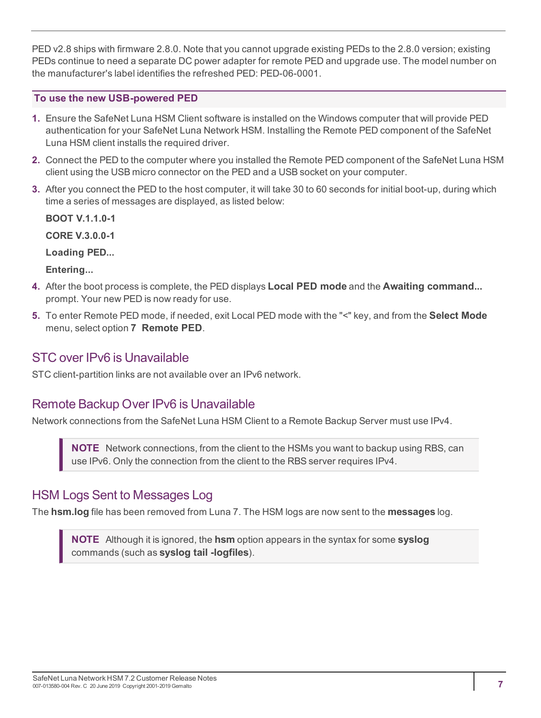PED v2.8 ships with firmware 2.8.0. Note that you cannot upgrade existing PEDs to the 2.8.0 version; existing PEDs continue to need a separate DC power adapter for remote PED and upgrade use. The model number on the manufacturer's label identifies the refreshed PED: PED-06-0001.

#### **To use the new USB-powered PED**

- **1.** Ensure the SafeNet Luna HSM Client software is installed on the Windows computer that will provide PED authentication for your SafeNet Luna Network HSM. Installing the Remote PED component of the SafeNet Luna HSM client installs the required driver.
- **2.** Connect the PED to the computer where you installed the Remote PED component of the SafeNet Luna HSM client using the USB micro connector on the PED and a USB socket on your computer.
- **3.** After you connect the PED to the host computer, it will take 30 to 60 seconds for initial boot-up, during which time a series of messages are displayed, as listed below:

**BOOT V.1.1.0-1 CORE V.3.0.0-1**

**Loading PED...**

**Entering...**

- **4.** After the boot process is complete, the PED displays **Local PED mode** and the **Awaiting command...** prompt. Your new PED is now ready for use.
- **5.** To enter Remote PED mode, if needed, exit Local PED mode with the "<" key, and from the **Select Mode** menu, select option **7 Remote PED**.

### <span id="page-6-0"></span>STC over IPv6 is Unavailable

<span id="page-6-1"></span>STC client-partition links are not available over an IPv6 network.

### Remote Backup Over IPv6 is Unavailable

Network connections from the SafeNet Luna HSM Client to a Remote Backup Server must use IPv4.

**NOTE** Network connections, from the client to the HSMs you want to backup using RBS, can use IPv6. Only the connection from the client to the RBS server requires IPv4.

### <span id="page-6-2"></span>HSM Logs Sent to Messages Log

The **hsm.log** file has been removed from Luna 7. The HSM logs are now sent to the **messages** log.

**NOTE** Although it is ignored, the **hsm** option appears in the syntax for some **syslog** commands (such as **syslog tail -logfiles**).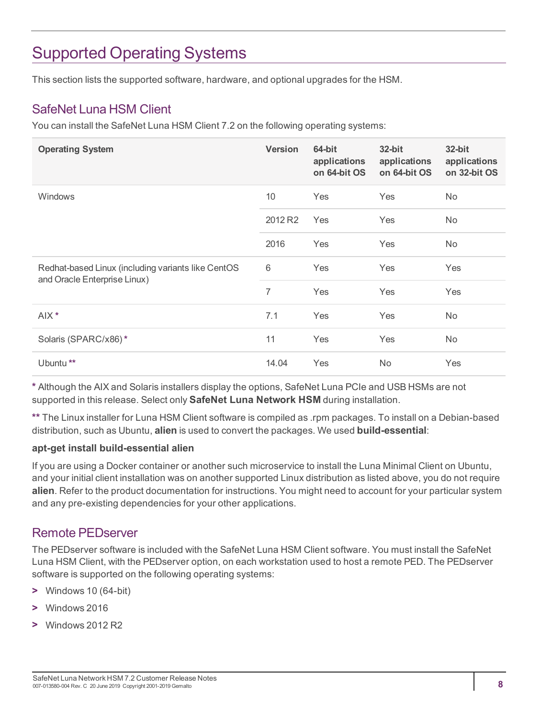# <span id="page-7-0"></span>Supported Operating Systems

<span id="page-7-1"></span>This section lists the supported software, hardware, and optional upgrades for the HSM.

### SafeNet Luna HSM Client

You can install the SafeNet Luna HSM Client 7.2 on the following operating systems:

| <b>Operating System</b>                                                            | <b>Version</b> | 64-bit<br>applications<br>on 64-bit OS | $32$ -bit<br>applications<br>on 64-bit OS | 32-bit<br>applications<br>on 32-bit OS |
|------------------------------------------------------------------------------------|----------------|----------------------------------------|-------------------------------------------|----------------------------------------|
| <b>Windows</b>                                                                     | 10             | Yes                                    | Yes                                       | No.                                    |
|                                                                                    | 2012 R2        | Yes                                    | Yes                                       | No.                                    |
|                                                                                    | 2016           | Yes                                    | Yes                                       | No.                                    |
| Redhat-based Linux (including variants like CentOS<br>and Oracle Enterprise Linux) | 6              | Yes                                    | Yes                                       | Yes                                    |
|                                                                                    | 7              | Yes                                    | Yes                                       | Yes                                    |
| AIX <sup>*</sup>                                                                   | 7.1            | Yes                                    | Yes                                       | No.                                    |
| Solaris (SPARC/x86)*                                                               | 11             | Yes                                    | Yes                                       | No.                                    |
| Ubuntu <sup>**</sup>                                                               | 14.04          | Yes                                    | <b>No</b>                                 | Yes                                    |

**\*** Although the AIX and Solaris installers display the options, SafeNet Luna PCIe and USB HSMs are not supported in this release. Select only **SafeNet Luna Network HSM** during installation.

**\*\*** The Linux installer for Luna HSM Client software is compiled as .rpm packages. To install on a Debian-based distribution, such as Ubuntu, **alien** is used to convert the packages. We used **build-essential**:

#### **apt-get install build-essential alien**

If you are using a Docker container or another such microservice to install the Luna Minimal Client on Ubuntu, and your initial client installation was on another supported Linux distribution as listed above, you do not require **alien**. Refer to the product documentation for instructions. You might need to account for your particular system and any pre-existing dependencies for your other applications.

#### <span id="page-7-2"></span>Remote PEDserver

The PEDserver software is included with the SafeNet Luna HSM Client software. You must install the SafeNet Luna HSM Client, with the PEDserver option, on each workstation used to host a remote PED. The PEDserver software is supported on the following operating systems:

- **>** Windows 10 (64-bit)
- **>** Windows 2016
- **>** Windows 2012 R2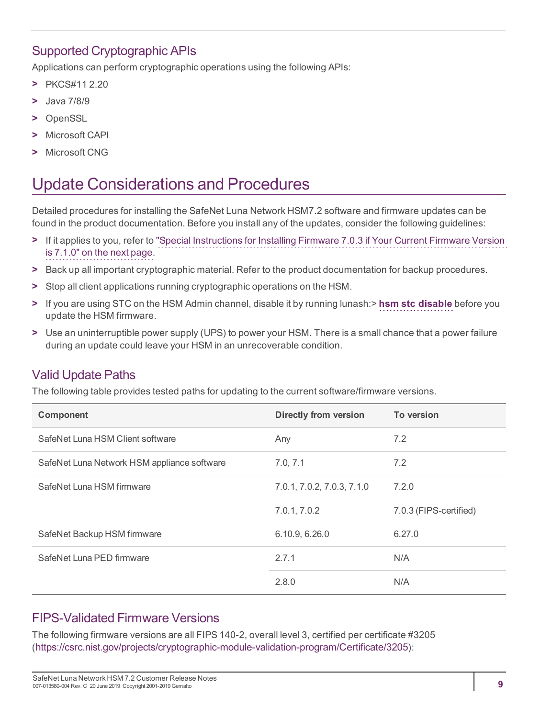### <span id="page-8-0"></span>Supported Cryptographic APIs

Applications can perform cryptographic operations using the following APIs:

- **>** PKCS#11 2.20
- **>** Java 7/8/9
- **>** OpenSSL
- **>** Microsoft CAPI
- <span id="page-8-1"></span>**>** Microsoft CNG

# Update Considerations and Procedures

Detailed procedures for installing the SafeNet Luna Network HSM7.2 software and firmware updates can be found in the product documentation. Before you install any of the updates, consider the following guidelines:

- **>** If it applies to you, refer to "Special [Instructions](#page-9-1) for Installing Firmware 7.0.3 if Your Current Firmware Version is [7.1.0" on](#page-9-1) the next page.
- **>** Back up all important cryptographic material. Refer to the product documentation for backup procedures.
- **>** Stop all client applications running cryptographic operations on the HSM.
- **>** If you are using STC on the HSM Admin channel, disable it by running lunash:> **hsm stc disable** before you update the HSM firmware.
- **>** Use an uninterruptible power supply (UPS) to power your HSM. There is a small chance that a power failure during an update could leave your HSM in an unrecoverable condition.

### <span id="page-8-2"></span>Valid Update Paths

The following table provides tested paths for updating to the current software/firmware versions.

| <b>Component</b>                            | <b>Directly from version</b> | To version             |
|---------------------------------------------|------------------------------|------------------------|
| SafeNet Luna HSM Client software            | Any                          | 7.2                    |
| SafeNet Luna Network HSM appliance software | 7.0, 7.1                     | 7.2                    |
| SafeNet Luna HSM firmware                   | 7.0.1, 7.0.2, 7.0.3, 7.1.0   | 7.2.0                  |
|                                             | 7.0.1, 7.0.2                 | 7.0.3 (FIPS-certified) |
| SafeNet Backup HSM firmware                 | 6.10.9, 6.26.0               | 6.27.0                 |
| SafeNet Luna PED firmware                   | 2.7.1                        | N/A                    |
|                                             | 2.8.0                        | N/A                    |

### <span id="page-8-3"></span>FIPS-Validated Firmware Versions

The following firmware versions are all FIPS 140-2, overall level 3, certified per certificate #3205 (<https://csrc.nist.gov/projects/cryptographic-module-validation-program/Certificate/3205>):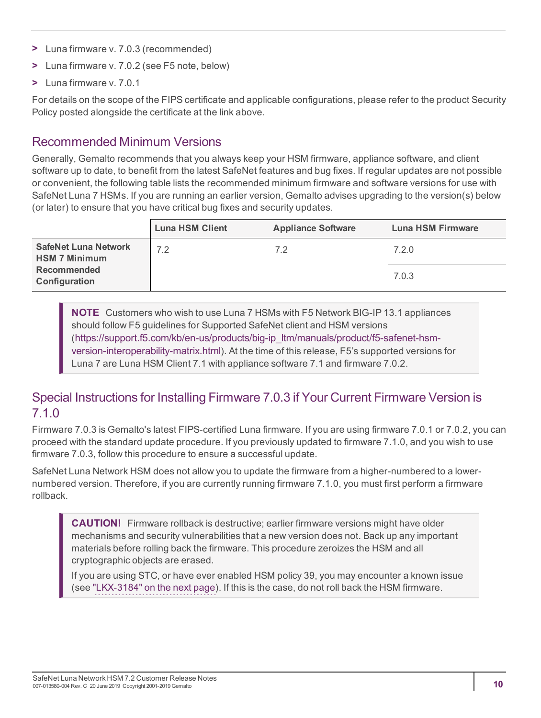- **>** Luna firmware v. 7.0.3 (recommended)
- **>** Luna firmware v. 7.0.2 (see F5 note, below)
- **>** Luna firmware v. 7.0.1

For details on the scope of the FIPS certificate and applicable configurations, please refer to the product Security Policy posted alongside the certificate at the link above.

### <span id="page-9-0"></span>Recommended Minimum Versions

Generally, Gemalto recommends that you always keep your HSM firmware, appliance software, and client software up to date, to benefit from the latest SafeNet features and bug fixes. If regular updates are not possible or convenient, the following table lists the recommended minimum firmware and software versions for use with SafeNet Luna 7 HSMs. If you are running an earlier version, Gemalto advises upgrading to the version(s) below (or later) to ensure that you have critical bug fixes and security updates.

|                                                     | <b>Luna HSM Client</b> | <b>Appliance Software</b> | Luna HSM Firmware |
|-----------------------------------------------------|------------------------|---------------------------|-------------------|
| <b>SafeNet Luna Network</b><br><b>HSM 7 Minimum</b> | 7.2                    | 7.2                       | 7.2.0             |
| <b>Recommended</b><br>Configuration                 |                        |                           | 7.0.3             |

**NOTE** Customers who wish to use Luna 7 HSMs with F5 Network BIG-IP 13.1 appliances should follow F5 guidelines for Supported SafeNet client and HSM versions ([https://support.f5.com/kb/en-us/products/big-ip\\_ltm/manuals/product/f5-safenet-hsm](https://support.f5.com/kb/en-us/products/big-ip_ltm/manuals/product/f5-safenet-hsm-version-interoperability-matrix.html)[version-interoperability-matrix.html](https://support.f5.com/kb/en-us/products/big-ip_ltm/manuals/product/f5-safenet-hsm-version-interoperability-matrix.html)). At the time of this release, F5's supported versions for Luna 7 are Luna HSM Client 7.1 with appliance software 7.1 and firmware 7.0.2.

### <span id="page-9-1"></span>Special Instructions for Installing Firmware 7.0.3 if Your Current Firmware Version is 7.1.0

Firmware 7.0.3 is Gemalto's latest FIPS-certified Luna firmware. If you are using firmware 7.0.1 or 7.0.2, you can proceed with the standard update procedure. If you previously updated to firmware 7.1.0, and you wish to use firmware 7.0.3, follow this procedure to ensure a successful update.

SafeNet Luna Network HSM does not allow you to update the firmware from a higher-numbered to a lowernumbered version. Therefore, if you are currently running firmware 7.1.0, you must first perform a firmware rollback.

**CAUTION!** Firmware rollback is destructive; earlier firmware versions might have older mechanisms and security vulnerabilities that a new version does not. Back up any important materials before rolling back the firmware. This procedure zeroizes the HSM and all cryptographic objects are erased.

If you are using STC, or have ever enabled HSM policy 39, you may encounter a known issue (see ["LKX-3184" on](#page-10-1) the next page). If this is the case, do not roll back the HSM firmware.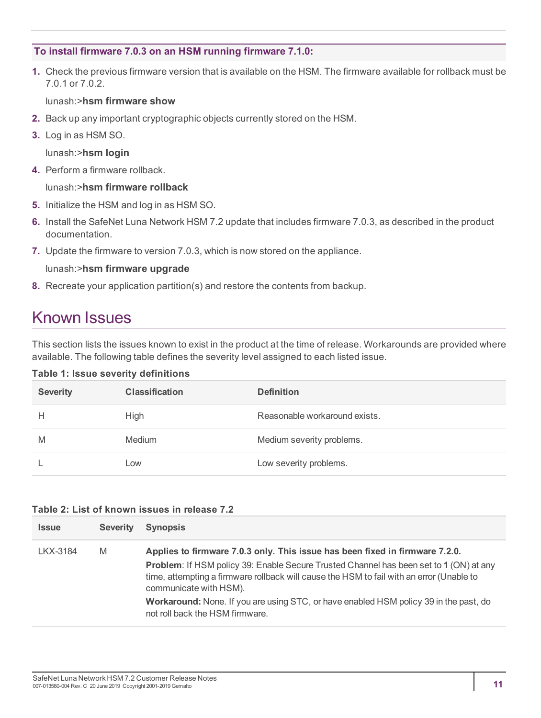#### **To install firmware 7.0.3 on an HSM running firmware 7.1.0:**

**1.** Check the previous firmware version that is available on the HSM. The firmware available for rollback must be 7.0.1 or 7.0.2.

lunash:>**hsm firmware show**

- **2.** Back up any important cryptographic objects currently stored on the HSM.
- **3.** Log in as HSM SO.

lunash:>**hsm login**

**4.** Perform a firmware rollback.

lunash:>**hsm firmware rollback**

- **5.** Initialize the HSM and log in as HSM SO.
- **6.** Install the SafeNet Luna Network HSM 7.2 update that includes firmware 7.0.3, as described in the product documentation.
- **7.** Update the firmware to version 7.0.3, which is now stored on the appliance.

lunash:>**hsm firmware upgrade**

<span id="page-10-0"></span>**8.** Recreate your application partition(s) and restore the contents from backup.

### Known Issues

This section lists the issues known to exist in the product at the time of release. Workarounds are provided where available. The following table defines the severity level assigned to each listed issue.

| <b>Severity</b> | <b>Classification</b> | <b>Definition</b>             |
|-----------------|-----------------------|-------------------------------|
| Н               | High                  | Reasonable workaround exists. |
| M               | <b>Medium</b>         | Medium severity problems.     |
|                 | Low                   | Low severity problems.        |

#### <span id="page-10-1"></span>**Table 2: List of known issues in release 7.2**

| <b>Issue</b> | <b>Severity</b> | <b>Synopsis</b>                                                                                                                                                                                                     |
|--------------|-----------------|---------------------------------------------------------------------------------------------------------------------------------------------------------------------------------------------------------------------|
| LKX-3184     | M               | Applies to firmware 7.0.3 only. This issue has been fixed in firmware 7.2.0.                                                                                                                                        |
|              |                 | <b>Problem:</b> If HSM policy 39: Enable Secure Trusted Channel has been set to 1 (ON) at any<br>time, attempting a firmware rollback will cause the HSM to fail with an error (Unable to<br>communicate with HSM). |
|              |                 | <b>Workaround:</b> None. If you are using STC, or have enabled HSM policy 39 in the past, do<br>not roll back the HSM firmware.                                                                                     |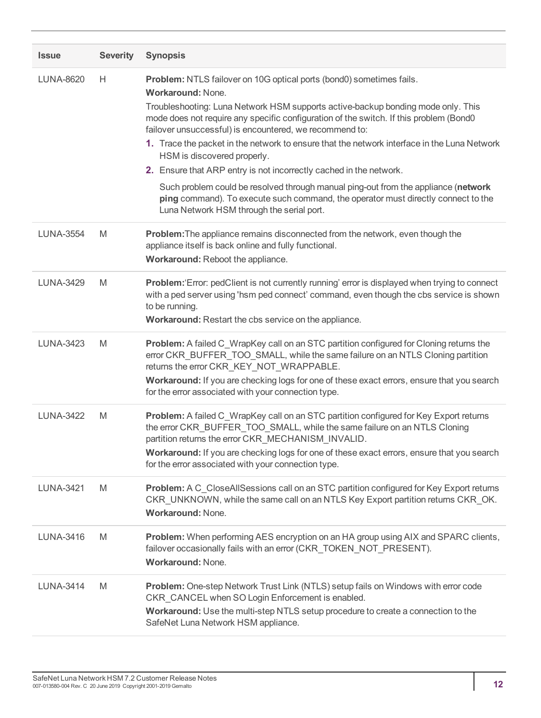| <b>Issue</b>     | <b>Severity</b> | <b>Synopsis</b>                                                                                                                                                                                                                                                     |
|------------------|-----------------|---------------------------------------------------------------------------------------------------------------------------------------------------------------------------------------------------------------------------------------------------------------------|
| <b>LUNA-8620</b> | Н               | Problem: NTLS failover on 10G optical ports (bond0) sometimes fails.<br><b>Workaround: None.</b>                                                                                                                                                                    |
|                  |                 | Troubleshooting: Luna Network HSM supports active-backup bonding mode only. This<br>mode does not require any specific configuration of the switch. If this problem (Bond0)<br>failover unsuccessful) is encountered, we recommend to:                              |
|                  |                 | 1. Trace the packet in the network to ensure that the network interface in the Luna Network<br>HSM is discovered properly.                                                                                                                                          |
|                  |                 | 2. Ensure that ARP entry is not incorrectly cached in the network.                                                                                                                                                                                                  |
|                  |                 | Such problem could be resolved through manual ping-out from the appliance (network<br>ping command). To execute such command, the operator must directly connect to the<br>Luna Network HSM through the serial port.                                                |
| <b>LUNA-3554</b> | M               | Problem: The appliance remains disconnected from the network, even though the<br>appliance itself is back online and fully functional.<br>Workaround: Reboot the appliance.                                                                                         |
| <b>LUNA-3429</b> | M               | Problem:'Error: pedClient is not currently running' error is displayed when trying to connect<br>with a ped server using 'hsm ped connect' command, even though the cbs service is shown<br>to be running.<br>Workaround: Restart the cbs service on the appliance. |
| <b>LUNA-3423</b> | M               | Problem: A failed C_WrapKey call on an STC partition configured for Cloning returns the<br>error CKR_BUFFER_TOO_SMALL, while the same failure on an NTLS Cloning partition<br>returns the error CKR_KEY_NOT_WRAPPABLE.                                              |
|                  |                 | Workaround: If you are checking logs for one of these exact errors, ensure that you search<br>for the error associated with your connection type.                                                                                                                   |
| <b>LUNA-3422</b> | M               | Problem: A failed C_WrapKey call on an STC partition configured for Key Export returns<br>the error CKR_BUFFER_TOO_SMALL, while the same failure on an NTLS Cloning<br>partition returns the error CKR_MECHANISM_INVALID.                                           |
|                  |                 | Workaround: If you are checking logs for one of these exact errors, ensure that you search<br>for the error associated with your connection type.                                                                                                                   |
| <b>LUNA-3421</b> | M               | Problem: A C CloseAllSessions call on an STC partition configured for Key Export returns<br>CKR_UNKNOWN, while the same call on an NTLS Key Export partition returns CKR_OK.<br>Workaround: None.                                                                   |
| LUNA-3416        | M               | Problem: When performing AES encryption on an HA group using AIX and SPARC clients,<br>failover occasionally fails with an error (CKR_TOKEN_NOT_PRESENT).<br><b>Workaround: None.</b>                                                                               |
| <b>LUNA-3414</b> | M               | Problem: One-step Network Trust Link (NTLS) setup fails on Windows with error code<br>CKR_CANCEL when SO Login Enforcement is enabled.<br>Workaround: Use the multi-step NTLS setup procedure to create a connection to the<br>SafeNet Luna Network HSM appliance.  |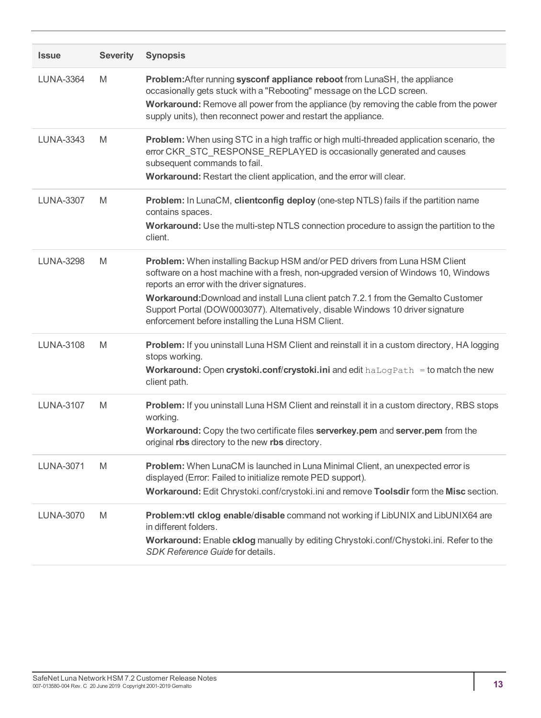| <b>Issue</b>     | <b>Severity</b> | <b>Synopsis</b>                                                                                                                                                                                                                                                                                                                                                                                                                                    |
|------------------|-----------------|----------------------------------------------------------------------------------------------------------------------------------------------------------------------------------------------------------------------------------------------------------------------------------------------------------------------------------------------------------------------------------------------------------------------------------------------------|
| <b>LUNA-3364</b> | M               | Problem: After running sysconf appliance reboot from LunaSH, the appliance<br>occasionally gets stuck with a "Rebooting" message on the LCD screen.<br>Workaround: Remove all power from the appliance (by removing the cable from the power<br>supply units), then reconnect power and restart the appliance.                                                                                                                                     |
| <b>LUNA-3343</b> | M               | Problem: When using STC in a high traffic or high multi-threaded application scenario, the<br>error CKR_STC_RESPONSE_REPLAYED is occasionally generated and causes<br>subsequent commands to fail.<br>Workaround: Restart the client application, and the error will clear.                                                                                                                                                                        |
| <b>LUNA-3307</b> | M               | Problem: In LunaCM, clientconfig deploy (one-step NTLS) fails if the partition name<br>contains spaces.<br>Workaround: Use the multi-step NTLS connection procedure to assign the partition to the<br>client.                                                                                                                                                                                                                                      |
| <b>LUNA-3298</b> | M               | Problem: When installing Backup HSM and/or PED drivers from Luna HSM Client<br>software on a host machine with a fresh, non-upgraded version of Windows 10, Windows<br>reports an error with the driver signatures.<br>Workaround: Download and install Luna client patch 7.2.1 from the Gemalto Customer<br>Support Portal (DOW0003077). Alternatively, disable Windows 10 driver signature<br>enforcement before installing the Luna HSM Client. |
| <b>LUNA-3108</b> | M               | Problem: If you uninstall Luna HSM Client and reinstall it in a custom directory, HA logging<br>stops working.<br><b>Workaround: Open crystoki.conf/crystoki.ini</b> and edit $haLogPath = to$ match the new<br>client path.                                                                                                                                                                                                                       |
| <b>LUNA-3107</b> | M               | Problem: If you uninstall Luna HSM Client and reinstall it in a custom directory, RBS stops<br>working.<br>Workaround: Copy the two certificate files serverkey.pem and server.pem from the<br>original rbs directory to the new rbs directory.                                                                                                                                                                                                    |
| <b>LUNA-3071</b> | M               | Problem: When LunaCM is launched in Luna Minimal Client, an unexpected error is<br>displayed (Error: Failed to initialize remote PED support).<br>Workaround: Edit Chrystoki.conf/crystoki.ini and remove Toolsdir form the Misc section.                                                                                                                                                                                                          |
| <b>LUNA-3070</b> | M               | Problem: vtl cklog enable/disable command not working if LibUNIX and LibUNIX64 are<br>in different folders.<br>Workaround: Enable cklog manually by editing Chrystoki.conf/Chystoki.ini. Refer to the<br>SDK Reference Guide for details.                                                                                                                                                                                                          |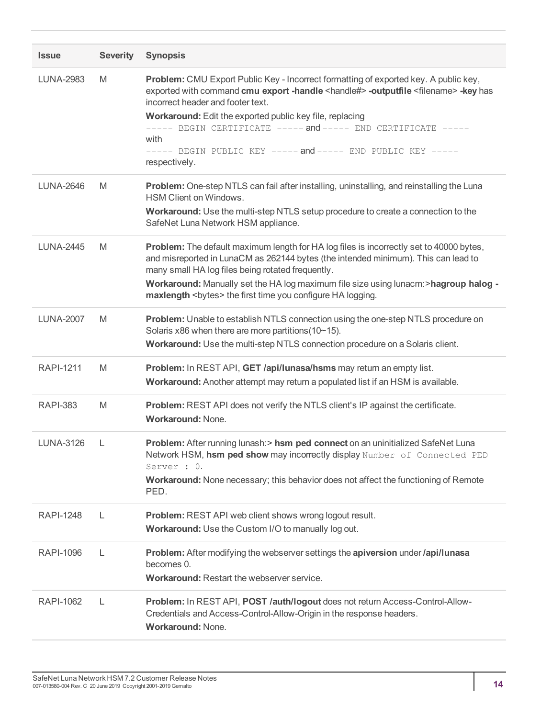| <b>Issue</b>     | <b>Severity</b> | <b>Synopsis</b>                                                                                                                                                                                                                                                                                                                                                                                                                                                 |
|------------------|-----------------|-----------------------------------------------------------------------------------------------------------------------------------------------------------------------------------------------------------------------------------------------------------------------------------------------------------------------------------------------------------------------------------------------------------------------------------------------------------------|
| <b>LUNA-2983</b> | M               | Problem: CMU Export Public Key - Incorrect formatting of exported key. A public key,<br>exported with command cmu export -handle <handle#> -outputfile <filename> -key has<br/>incorrect header and footer text.<br/>Workaround: Edit the exported public key file, replacing<br/>----- BEGIN CERTIFICATE ----- and ----- END CERTIFICATE -----<br/>with<br/>----- BEGIN PUBLIC KEY ----- and ----- END PUBLIC KEY -----<br/>respectively.</filename></handle#> |
| <b>LUNA-2646</b> | M               | Problem: One-step NTLS can fail after installing, uninstalling, and reinstalling the Luna<br><b>HSM Client on Windows.</b><br>Workaround: Use the multi-step NTLS setup procedure to create a connection to the<br>SafeNet Luna Network HSM appliance.                                                                                                                                                                                                          |
| <b>LUNA-2445</b> | M               | Problem: The default maximum length for HA log files is incorrectly set to 40000 bytes,<br>and misreported in LunaCM as 262144 bytes (the intended minimum). This can lead to<br>many small HA log files being rotated frequently.<br>Workaround: Manually set the HA log maximum file size using lunacm:>hagroup halog -<br>maxlength <bytes> the first time you configure HA logging.</bytes>                                                                 |
| <b>LUNA-2007</b> | M               | Problem: Unable to establish NTLS connection using the one-step NTLS procedure on<br>Solaris x86 when there are more partitions (10~15).<br>Workaround: Use the multi-step NTLS connection procedure on a Solaris client.                                                                                                                                                                                                                                       |
| <b>RAPI-1211</b> | M               | Problem: In REST API, GET /api/lunasa/hsms may return an empty list.<br>Workaround: Another attempt may return a populated list if an HSM is available.                                                                                                                                                                                                                                                                                                         |
| <b>RAPI-383</b>  | M               | Problem: REST API does not verify the NTLS client's IP against the certificate.<br><b>Workaround: None.</b>                                                                                                                                                                                                                                                                                                                                                     |
| <b>LUNA-3126</b> | L               | Problem: After running lunash: > hsm ped connect on an uninitialized SafeNet Luna<br>Network HSM, hsm ped show may incorrectly display Number of Connected PED<br>Server : 0.<br>Workaround: None necessary; this behavior does not affect the functioning of Remote<br>PED.                                                                                                                                                                                    |
| <b>RAPI-1248</b> | L               | <b>Problem:</b> REST API web client shows wrong logout result.<br>Workaround: Use the Custom I/O to manually log out.                                                                                                                                                                                                                                                                                                                                           |
| <b>RAPI-1096</b> | L               | Problem: After modifying the webserver settings the apiversion under /api/lunasa<br>becomes 0.<br><b>Workaround: Restart the webserver service.</b>                                                                                                                                                                                                                                                                                                             |
| <b>RAPI-1062</b> | L               | Problem: In REST API, POST /auth/logout does not return Access-Control-Allow-<br>Credentials and Access-Control-Allow-Origin in the response headers.<br><b>Workaround: None.</b>                                                                                                                                                                                                                                                                               |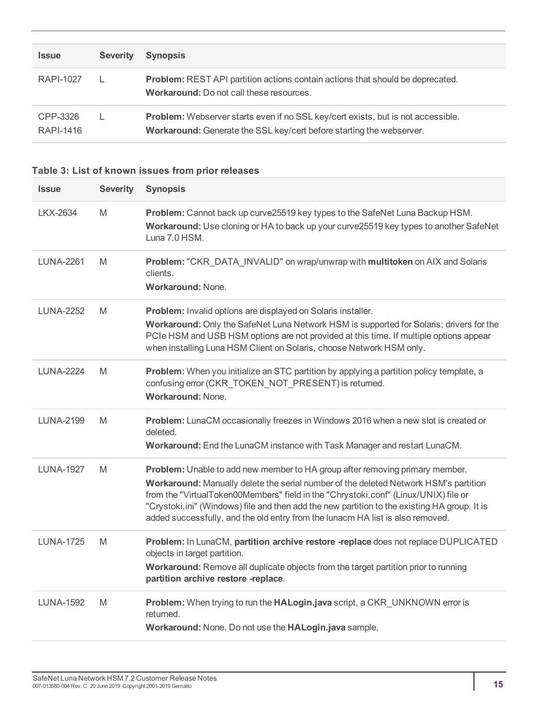| <b>Issue</b>          | <b>Severity</b> | <b>Synopsis</b>                                                                                                                                          |
|-----------------------|-----------------|----------------------------------------------------------------------------------------------------------------------------------------------------------|
| RAPI-1027             |                 | <b>Problem:</b> REST API partition actions contain actions that should be deprecated.<br><b>Workaround:</b> Do not call these resources.                 |
| CPP-3326<br>RAPI-1416 |                 | Problem: Webserver starts even if no SSL key/cert exists, but is not accessible.<br>Workaround: Generate the SSL key/cert before starting the webserver. |

#### **Table 3: List of known issues from prior releases**

| <b>Issue</b>     | <b>Severity</b> | <b>Synopsis</b>                                                                                                                                                                                                                                                                                                                                                                                                                               |
|------------------|-----------------|-----------------------------------------------------------------------------------------------------------------------------------------------------------------------------------------------------------------------------------------------------------------------------------------------------------------------------------------------------------------------------------------------------------------------------------------------|
| LKX-2634         | M               | Problem: Cannot back up curve25519 key types to the SafeNet Luna Backup HSM.<br>Workaround: Use cloning or HA to back up your curve25519 key types to another SafeNet<br>Luna 7.0 HSM.                                                                                                                                                                                                                                                        |
| <b>LUNA-2261</b> | M               | Problem: "CKR_DATA_INVALID" on wrap/unwrap with multitoken on AIX and Solaris<br>clients.<br><b>Workaround: None.</b>                                                                                                                                                                                                                                                                                                                         |
| <b>LUNA-2252</b> | M               | Problem: Invalid options are displayed on Solaris installer.<br>Workaround: Only the SafeNet Luna Network HSM is supported for Solaris; drivers for the<br>PCIe HSM and USB HSM options are not provided at this time. If multiple options appear<br>when installing Luna HSM Client on Solaris, choose Network HSM only.                                                                                                                     |
| <b>LUNA-2224</b> | M               | <b>Problem:</b> When you initialize an STC partition by applying a partition policy template, a<br>confusing error (CKR_TOKEN_NOT_PRESENT) is returned.<br><b>Workaround: None.</b>                                                                                                                                                                                                                                                           |
| <b>LUNA-2199</b> | M               | Problem: LunaCM occasionally freezes in Windows 2016 when a new slot is created or<br>deleted.<br>Workaround: End the LunaCM instance with Task Manager and restart LunaCM.                                                                                                                                                                                                                                                                   |
| <b>LUNA-1927</b> | M               | Problem: Unable to add new member to HA group after removing primary member.<br>Workaround: Manually delete the serial number of the deleted Network HSM's partition<br>from the "VirtualToken00Members" field in the "Chrystoki.conf" (Linux/UNIX) file or<br>"Crystoki.ini" (Windows) file and then add the new partition to the existing HA group. It is<br>added successfully, and the old entry from the lunacm HA list is also removed. |
| <b>LUNA-1725</b> | M               | Problem: In LunaCM, partition archive restore -replace does not replace DUPLICATED<br>objects in target partition.<br>Workaround: Remove all duplicate objects from the target partition prior to running<br>partition archive restore -replace.                                                                                                                                                                                              |
| <b>LUNA-1592</b> | M               | Problem: When trying to run the HALogin.java script, a CKR UNKNOWN error is<br>returned.<br>Workaround: None. Do not use the HALogin.java sample.                                                                                                                                                                                                                                                                                             |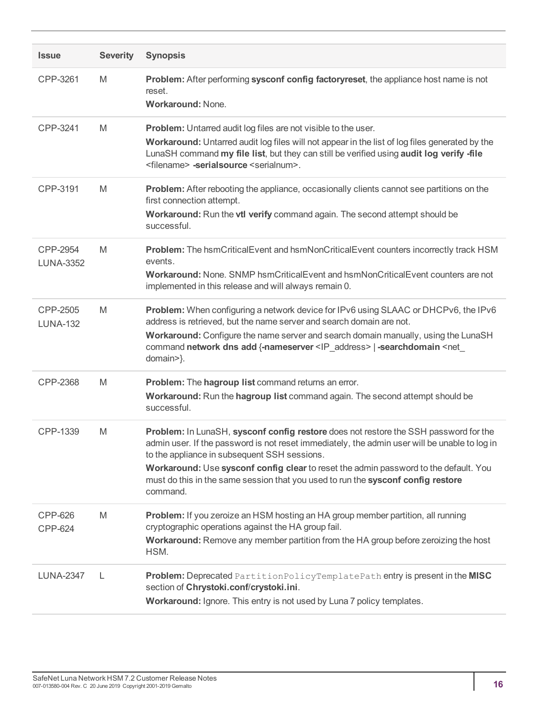| <b>Issue</b>                     | <b>Severity</b> | <b>Synopsis</b>                                                                                                                                                                                                                                                                                                                                                                                                               |
|----------------------------------|-----------------|-------------------------------------------------------------------------------------------------------------------------------------------------------------------------------------------------------------------------------------------------------------------------------------------------------------------------------------------------------------------------------------------------------------------------------|
| CPP-3261                         | M               | Problem: After performing sysconf config factoryreset, the appliance host name is not<br>reset.<br><b>Workaround: None.</b>                                                                                                                                                                                                                                                                                                   |
| CPP-3241                         | M               | <b>Problem:</b> Untarred audit log files are not visible to the user.<br>Workaround: Untarred audit log files will not appear in the list of log files generated by the<br>LunaSH command my file list, but they can still be verified using audit log verify -file<br><filename> -serialsource <serialnum>.</serialnum></filename>                                                                                           |
| CPP-3191                         | M               | Problem: After rebooting the appliance, occasionally clients cannot see partitions on the<br>first connection attempt.<br>Workaround: Run the vtl verify command again. The second attempt should be<br>successful.                                                                                                                                                                                                           |
| CPP-2954<br><b>LUNA-3352</b>     | M               | Problem: The hsmCriticalEvent and hsmNonCriticalEvent counters incorrectly track HSM<br>events.<br>Workaround: None. SNMP hsmCriticalEvent and hsmNonCriticalEvent counters are not<br>implemented in this release and will always remain 0.                                                                                                                                                                                  |
| CPP-2505<br><b>LUNA-132</b>      | M               | Problem: When configuring a network device for IPv6 using SLAAC or DHCPv6, the IPv6<br>address is retrieved, but the name server and search domain are not.<br>Workaround: Configure the name server and search domain manually, using the LunaSH<br>command network dns add {-nameserver <ip_address>   -searchdomain <net_<br>domain&gt;}.</net_<br></ip_address>                                                           |
| CPP-2368                         | M               | Problem: The hagroup list command returns an error.<br>Workaround: Run the hagroup list command again. The second attempt should be<br>successful.                                                                                                                                                                                                                                                                            |
| CPP-1339                         | M               | Problem: In LunaSH, sysconf config restore does not restore the SSH password for the<br>admin user. If the password is not reset immediately, the admin user will be unable to log in<br>to the appliance in subsequent SSH sessions.<br>Workaround: Use sysconf config clear to reset the admin password to the default. You<br>must do this in the same session that you used to run the sysconf config restore<br>command. |
| <b>CPP-626</b><br><b>CPP-624</b> | M               | Problem: If you zeroize an HSM hosting an HA group member partition, all running<br>cryptographic operations against the HA group fail.<br>Workaround: Remove any member partition from the HA group before zeroizing the host<br>HSM.                                                                                                                                                                                        |
| <b>LUNA-2347</b>                 | L               | Problem: Deprecated PartitionPolicyTemplatePath entry is present in the MISC<br>section of Chrystoki.conf/crystoki.ini.<br>Workaround: Ignore. This entry is not used by Luna 7 policy templates.                                                                                                                                                                                                                             |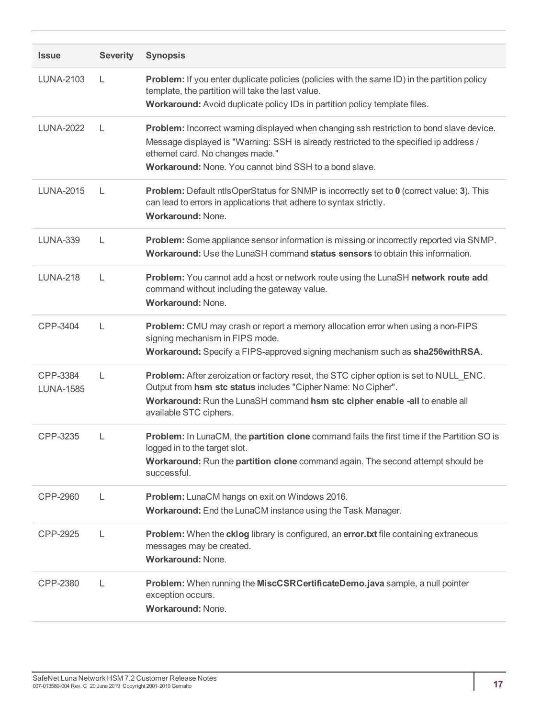| <b>Issue</b>                 | <b>Severity</b> | <b>Synopsis</b>                                                                                                                                                                                                                                                                  |
|------------------------------|-----------------|----------------------------------------------------------------------------------------------------------------------------------------------------------------------------------------------------------------------------------------------------------------------------------|
| LUNA-2103                    | L               | <b>Problem:</b> If you enter duplicate policies (policies with the same ID) in the partition policy<br>template, the partition will take the last value.<br>Workaround: Avoid duplicate policy IDs in partition policy template files.                                           |
| <b>LUNA-2022</b>             | L               | Problem: Incorrect warning displayed when changing ssh restriction to bond slave device.<br>Message displayed is "Warning: SSH is already restricted to the specified ip address /<br>ethernet card. No changes made."<br>Workaround: None. You cannot bind SSH to a bond slave. |
| <b>LUNA-2015</b>             | L               | Problem: Default ntlsOperStatus for SNMP is incorrectly set to 0 (correct value: 3). This<br>can lead to errors in applications that adhere to syntax strictly.<br><b>Workaround: None.</b>                                                                                      |
| <b>LUNA-339</b>              | L               | Problem: Some appliance sensor information is missing or incorrectly reported via SNMP.<br>Workaround: Use the LunaSH command status sensors to obtain this information.                                                                                                         |
| <b>LUNA-218</b>              | L               | Problem: You cannot add a host or network route using the LunaSH network route add<br>command without including the gateway value.<br>Workaround: None.                                                                                                                          |
| CPP-3404                     | L               | Problem: CMU may crash or report a memory allocation error when using a non-FIPS<br>signing mechanism in FIPS mode.<br>Workaround: Specify a FIPS-approved signing mechanism such as sha256withRSA.                                                                              |
| CPP-3384<br><b>LUNA-1585</b> | L               | Problem: After zeroization or factory reset, the STC cipher option is set to NULL_ENC.<br>Output from hsm stc status includes "Cipher Name: No Cipher".<br>Workaround: Run the LunaSH command hsm stc cipher enable -all to enable all<br>available STC ciphers.                 |
| CPP-3235                     | L               | Problem: In LunaCM, the partition clone command fails the first time if the Partition SO is<br>logged in to the target slot.<br>Workaround: Run the partition clone command again. The second attempt should be<br>successful.                                                   |
| CPP-2960                     | L               | Problem: LunaCM hangs on exit on Windows 2016.<br>Workaround: End the LunaCM instance using the Task Manager.                                                                                                                                                                    |
| CPP-2925                     | L               | Problem: When the cklog library is configured, an error.txt file containing extraneous<br>messages may be created.<br><b>Workaround: None.</b>                                                                                                                                   |
| CPP-2380                     | L               | Problem: When running the MiscCSRCertificateDemo.java sample, a null pointer<br>exception occurs.<br>Workaround: None.                                                                                                                                                           |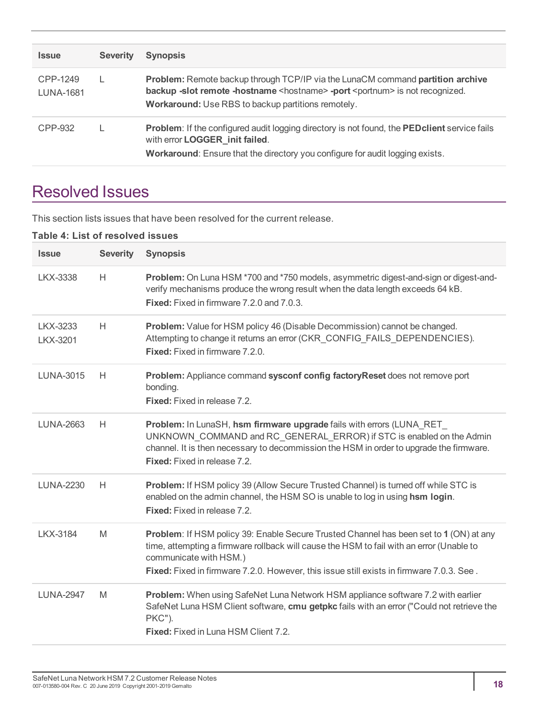| <b>Issue</b>                 | <b>Severity</b> | <b>Synopsis</b>                                                                                                                                                                                                                                  |
|------------------------------|-----------------|--------------------------------------------------------------------------------------------------------------------------------------------------------------------------------------------------------------------------------------------------|
| CPP-1249<br><b>LUNA-1681</b> |                 | <b>Problem:</b> Remote backup through TCP/IP via the LunaCM command partition archive<br>backup -slot remote -hostname <hostname> -port <portnum> is not recognized.<br/>Workaround: Use RBS to backup partitions remotely.</portnum></hostname> |
| CPP-932                      |                 | Problem: If the configured audit logging directory is not found, the PED client service fails<br>with error LOGGER init failed.<br>Workaround: Ensure that the directory you configure for audit logging exists.                                 |

# <span id="page-17-0"></span>Resolved Issues

This section lists issues that have been resolved for the current release.

#### **Table 4: List of resolved issues**

| <b>Issue</b>         | <b>Severity</b> | <b>Synopsis</b>                                                                                                                                                                                                                                                                                          |
|----------------------|-----------------|----------------------------------------------------------------------------------------------------------------------------------------------------------------------------------------------------------------------------------------------------------------------------------------------------------|
| <b>LKX-3338</b>      | H.              | Problem: On Luna HSM *700 and *750 models, asymmetric digest-and-sign or digest-and-<br>verify mechanisms produce the wrong result when the data length exceeds 64 kB.<br><b>Fixed:</b> Fixed in firmware 7.2.0 and 7.0.3.                                                                               |
| LKX-3233<br>LKX-3201 | H.              | Problem: Value for HSM policy 46 (Disable Decommission) cannot be changed.<br>Attempting to change it returns an error (CKR_CONFIG_FAILS_DEPENDENCIES).<br><b>Fixed:</b> Fixed in firmware 7.2.0.                                                                                                        |
| <b>LUNA-3015</b>     | H               | Problem: Appliance command sysconf config factoryReset does not remove port<br>bonding.<br><b>Fixed:</b> Fixed in release 7.2.                                                                                                                                                                           |
| <b>LUNA-2663</b>     | H               | Problem: In LunaSH, hsm firmware upgrade fails with errors (LUNA_RET_<br>UNKNOWN_COMMAND and RC_GENERAL_ERROR) if STC is enabled on the Admin<br>channel. It is then necessary to decommission the HSM in order to upgrade the firmware.<br><b>Fixed:</b> Fixed in release 7.2.                          |
| <b>LUNA-2230</b>     | H               | Problem: If HSM policy 39 (Allow Secure Trusted Channel) is turned off while STC is<br>enabled on the admin channel, the HSM SO is unable to log in using hsm login.<br>Fixed: Fixed in release 7.2.                                                                                                     |
| <b>LKX-3184</b>      | M               | Problem: If HSM policy 39: Enable Secure Trusted Channel has been set to 1 (ON) at any<br>time, attempting a firmware rollback will cause the HSM to fail with an error (Unable to<br>communicate with HSM.)<br>Fixed: Fixed in firmware 7.2.0. However, this issue still exists in firmware 7.0.3. See. |
| <b>LUNA-2947</b>     | M               | Problem: When using SafeNet Luna Network HSM appliance software 7.2 with earlier<br>SafeNet Luna HSM Client software, cmu getpkc fails with an error ("Could not retrieve the<br>PKC").<br><b>Fixed:</b> Fixed in Luna HSM Client 7.2.                                                                   |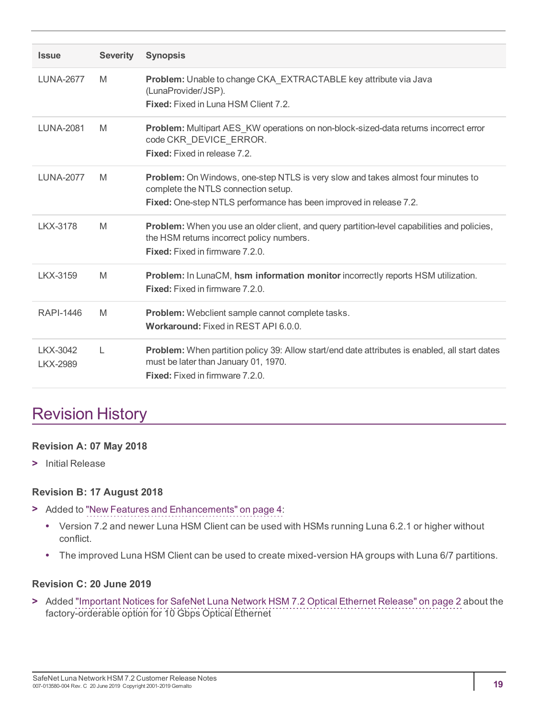| <b>Issue</b>                | <b>Severity</b> | <b>Synopsis</b>                                                                                                                                                                                      |
|-----------------------------|-----------------|------------------------------------------------------------------------------------------------------------------------------------------------------------------------------------------------------|
| <b>LUNA-2677</b>            | M               | Problem: Unable to change CKA_EXTRACTABLE key attribute via Java<br>(LunaProvider/JSP).<br><b>Fixed:</b> Fixed in Luna HSM Client 7.2.                                                               |
| <b>LUNA-2081</b>            | M               | <b>Problem:</b> Multipart AES_KW operations on non-block-sized-data returns incorrect error<br>code CKR_DEVICE_ERROR.<br><b>Fixed:</b> Fixed in release 7.2.                                         |
| <b>LUNA-2077</b>            | M               | <b>Problem:</b> On Windows, one-step NTLS is very slow and takes almost four minutes to<br>complete the NTLS connection setup.<br>Fixed: One-step NTLS performance has been improved in release 7.2. |
| LKX-3178                    | M               | Problem: When you use an older client, and query partition-level capabilities and policies,<br>the HSM returns incorrect policy numbers.<br><b>Fixed:</b> Fixed in firmware 7.2.0.                   |
| LKX-3159                    | M               | Problem: In LunaCM, hsm information monitor incorrectly reports HSM utilization.<br><b>Fixed:</b> Fixed in firmware 7.2.0.                                                                           |
| RAPI-1446                   | M               | Problem: Webclient sample cannot complete tasks.<br>Workaround: Fixed in REST API 6.0.0.                                                                                                             |
| LKX-3042<br><b>LKX-2989</b> | L               | Problem: When partition policy 39: Allow start/end date attributes is enabled, all start dates<br>must be later than January 01, 1970.<br><b>Fixed:</b> Fixed in firmware 7.2.0.                     |

# <span id="page-18-0"></span>Revision History

#### **Revision A: 07 May 2018**

**>** Initial Release

#### **Revision B: 17 August 2018**

- **>** Added to "New Features and [Enhancements" on](#page-3-1) page 4:
	- **•** Version 7.2 and newer Luna HSM Client can be used with HSMs running Luna 6.2.1 or higher without conflict.
	- **•** The improved Luna HSM Client can be used to create mixed-version HA groups with Luna 6/7 partitions.

#### **Revision C: 20 June 2019**

**>** Added "Important Notices for SafeNet Luna Network HSM 7.2 Optical Ethernet [Release" on](#page-1-2) page 2 about the factory-orderable option for 10 Gbps Optical Ethernet